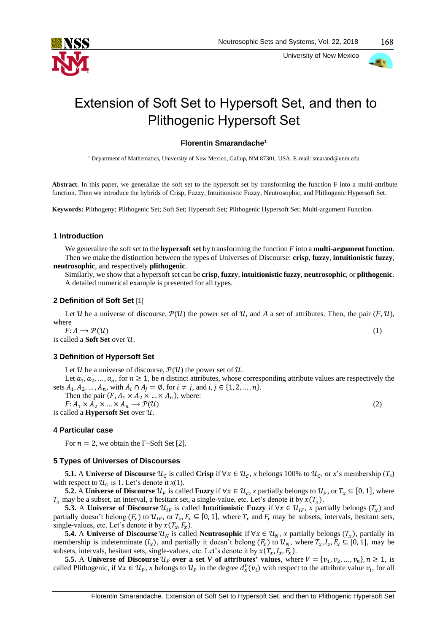

University of New Mexico



168

# Extension of Soft Set to Hypersoft Set, and then to Plithogenic Hypersoft Set

# **Florentin Smarandache<sup>1</sup>**

<sup>1</sup> Department of Mathematics, University of New Mexico, Gallup, NM 87301, USA. E-mail: smarand@unm.edu

**Abstract**. In this paper, we generalize the soft set to the hypersoft set by transforming the function F into a multi-attribute function. Then we introduce the hybrids of Crisp, Fuzzy, Intuitionistic Fuzzy, Neutrosophic, and Plithogenic Hypersoft Set.

**Keywords:** Plithogeny; Plithogenic Set; Soft Set; Hypersoft Set; Plithogenic Hypersoft Set; Multi-argument Function.

#### **1 Introduction**

We generalize the soft set to the **hypersoft set** by transforming the function *F* into a **multi-argument function**. Then we make the distinction between the types of Universes of Discourse: **crisp**, **fuzzy**, **intuitionistic fuzzy**, **neutrosophic**, and respectively **plithogenic**.

Similarly, we show that a hypersoft set can be **crisp**, **fuzzy**, **intuitionistic fuzzy**, **neutrosophic**, or **plithogenic**. A detailed numerical example is presented for all types.

## **2 Definition of Soft Set** [1]

Let U be a universe of discourse,  $\mathcal{P}(U)$  the power set of U, and A a set of attributes. Then, the pair  $(F, U)$ , where

 $F: A \longrightarrow \mathcal{P}(\mathcal{U})$  (1) is called a **Soft Set** over  $\mathcal{U}$ .

# **3 Definition of Hypersoft Set**

Let U be a universe of discourse,  $P(U)$  the power set of U.

Let  $a_1, a_2, ..., a_n$ , for  $n \ge 1$ , be *n* distinct attributes, whose corresponding attribute values are respectively the sets  $A_1, A_2, ..., A_n$ , with  $A_i \cap A_j = \emptyset$ , for  $i \neq j$ , and  $i, j \in \{1, 2, ..., n\}$ .

Then the pair  $(F, A_1 \times A_2 \times ... \times A_n)$ , where:  $F: A_1 \times A_2 \times ... \times A_n \longrightarrow \mathcal{P}(\mathcal{U})$  (2)

is called a **Hypersoft Set** over  $U$ .

#### **4 Particular case**

For  $n = 2$ , we obtain the Γ–Soft Set [2].

#### **5 Types of Universes of Discourses**

**5.1.** A **Universe of Discourse**  $\mathcal{U}_c$  is called **Crisp** if  $\forall x \in \mathcal{U}_c$ , *x* belongs 100% to  $\mathcal{U}_c$ , or *x*'s membership  $(T_x)$ with respect to  $\mathcal{U}_c$  is 1. Let's denote it  $x(1)$ .

**5.2.** A **Universe of Discourse**  $\mathcal{U}_F$  is called **Fuzzy** if  $\forall x \in \mathcal{U}_c$ , x partially belongs to  $\mathcal{U}_F$ , or  $T_x \subseteq [0, 1]$ , where  $T_x$  may be a subset, an interval, a hesitant set, a single-value, etc. Let's denote it by  $\chi(T_x)$ .

**5.3.** A **Universe of Discourse**  $\mathcal{U}_{IF}$  is called **Intuitionistic Fuzzy** if  $\forall x \in \mathcal{U}_{IF}$ , x partially belongs ( $T_x$ ) and partially doesn't belong  $(F_x)$  to  $\mathcal{U}_{IF}$ , or  $T_x$ ,  $F_x \subseteq [0, 1]$ , where  $T_x$  and  $F_x$  may be subsets, intervals, hesitant sets, single-values, etc. Let's denote it by  $x(T_x, F_x)$ .

**5.4.** A **Universe of Discourse**  $\mathcal{U}_N$  is called **Neutrosophic** if  $\forall x \in \mathcal{U}_N$ , *x* partially belongs  $(T_x)$ , partially its membership is indeterminate  $(I_x)$ , and partially it doesn't belong  $(F_x)$  to  $\mathcal{U}_N$ , where  $T_x, I_x, F_x \subseteq [0, 1]$ , may be subsets, intervals, hesitant sets, single-values, etc. Let's denote it by  $x(T_x, I_x, F_x)$ .

**5.5.** A **Universe of Discourse**  $\mathcal{U}_P$  over a set *V* of attributes' values, where  $V = \{v_1, v_2, ..., v_n\}, n \ge 1$ , is called Plithogenic, if  $\forall x \in \mathcal{U}_P$ , x belongs to  $\mathcal{U}_P$  in the degree  $d_x^0(v_i)$  with respect to the attribute value  $v_i$ , for all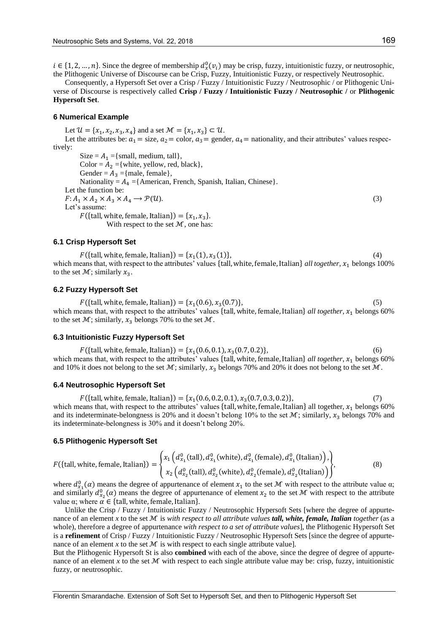$i \in \{1, 2, ..., n\}$ . Since the degree of membership  $d_{x}^{0}(v_{i})$  may be crisp, fuzzy, intuitionistic fuzzy, or neutrosophic, the Plithogenic Universe of Discourse can be Crisp, Fuzzy, Intuitionistic Fuzzy, or respectively Neutrosophic.

Consequently, a Hypersoft Set over a Crisp / Fuzzy / Intuitionistic Fuzzy / Neutrosophic / or Plithogenic Universe of Discourse is respectively called **Crisp / Fuzzy / Intuitionistic Fuzzy / Neutrosophic /** or **Plithogenic Hypersoft Set**.

#### **6 Numerical Example**

Let  $\mathcal{U} = \{x_1, x_2, x_3, x_4\}$  and a set  $\mathcal{M} = \{x_1, x_3\} \subset \mathcal{U}$ . Let the attributes be:  $a_1 = \text{size}, a_2 = \text{color}, a_3 = \text{gender}, a_4 = \text{nationality},$  and their attributes' values respectively: Size =  $A_1$  ={small, medium, tall},

Color =  $A_2$  ={white, yellow, red, black}, Gender =  $A_3$  ={male, female}, Nationality =  $A_4$  ={American, French, Spanish, Italian, Chinese}. Let the function be:  $F: A_1 \times A_2 \times A_3 \times A_4 \longrightarrow \mathcal{P}(\mathcal{U}).$  (3) Let's assume:  $F({\text{tall, white, female, Italian}}) = {x_1, x_3}.$ With respect to the set  $M$ , one has:

# **6.1 Crisp Hypersoft Set**

 $F({\text{tall, white, female, Italian}}) = {x_1(1), x_3}$  $(1)$ },  $(4)$ which means that, with respect to the attributes' values {tall, white, female, Italian} *all together*,  $x_1$  belongs 100% to the set  $\mathcal{M}$ ; similarly  $x_3$ .

#### **6.2 Fuzzy Hypersoft Set**

 $F({\text{tall, white, female, Italian}}) = {x_1(0.6), x_3(0.7)},$  (5) which means that, with respect to the attributes' values {tall, white, female, Italian} *all together*,  $x_1$  belongs 60% to the set  $\mathcal{M}$ ; similarly,  $x_3$  belongs 70% to the set  $\mathcal{M}$ .

#### **6.3 Intuitionistic Fuzzy Hypersoft Set**

 $F({\text{tall, white, female, Italian}}) = {x_1(0.6, 0.1), x_3(0.7, 0.2)},$  (6) which means that, with respect to the attributes' values {tall, white, female, Italian} *all together*,  $x_1$  belongs 60% and 10% it does not belong to the set  $M$ ; similarly,  $x_3$  belongs 70% and 20% it does not belong to the set  $M$ .

#### **6.4 Neutrosophic Hypersoft Set**

 $F({\text{tall, white, female, Italian}}) = {x_1(0.6, 0.2, 0.1), x_3(0.7, 0.3, 0.2)},$  (7) which means that, with respect to the attributes' values {tall, white, female, Italian} all together,  $x_1$  belongs 60% and its indeterminate-belongness is 20% and it doesn't belong 10% to the set  $M$ ; similarly,  $x_3$  belongs 70% and its indeterminate-belongness is 30% and it doesn't belong 20%.

#### **6.5 Plithogenic Hypersoft Set**

$$
F(\{\text{tall, white, female, Italian}\}) = \begin{cases} x_1\left(d_{x_1}^0(\text{tall}), d_{x_1}^0(\text{white}), d_{x_1}^0(\text{female}), d_{x_1}^0(\text{talian})\right), \\ x_2\left(d_{x_2}^0(\text{tall}), d_{x_2}^0(\text{white}), d_{x_2}^0(\text{female}), d_{x_2}^0(\text{talian})\right) \end{cases},
$$
(8)

where  $d_{x_1}^0(\alpha)$  means the degree of appurtenance of element  $x_1$  to the set M with respect to the attribute value  $\alpha$ ; and similarly  $d_{x_2}^0(\alpha)$  means the degree of appurtenance of element  $x_2$  to the set M with respect to the attribute value  $\alpha$ ; where  $\alpha \in \{\text{tall}, \text{white}, \text{female}, \text{Italian}\}.$ 

Unlike the Crisp / Fuzzy / Intuitionistic Fuzzy / Neutrosophic Hypersoft Sets [where the degree of appurtenance of an element *x* to the set ℳ is *with respect to all attribute values tall, white, female, Italian together* (as a whole), therefore a degree of appurtenance *with respect to a set of attribute values*], the Plithogenic Hypersoft Set is a **refinement** of Crisp / Fuzzy / Intuitionistic Fuzzy / Neutrosophic Hypersoft Sets [since the degree of appurtenance of an element *x* to the set  $M$  is with respect to each single attribute value].

But the Plithogenic Hypersoft St is also **combined** with each of the above, since the degree of degree of appurtenance of an element *x* to the set  $M$  with respect to each single attribute value may be: crisp, fuzzy, intuitionistic fuzzy, or neutrosophic.